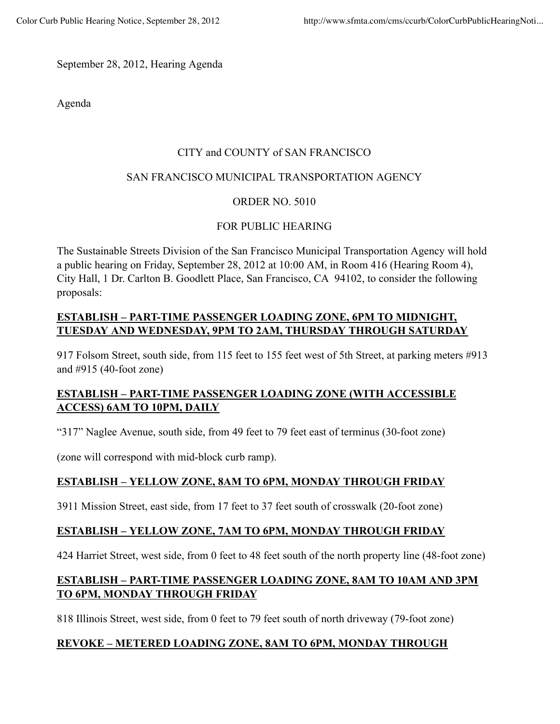September 28, 2012, Hearing Agenda

Agenda

## CITY and COUNTY of SAN FRANCISCO

## SAN FRANCISCO MUNICIPAL TRANSPORTATION AGENCY

# ORDER NO. 5010

# FOR PUBLIC HEARING

The Sustainable Streets Division of the San Francisco Municipal Transportation Agency will hold a public hearing on Friday, September 28, 2012 at 10:00 AM, in Room 416 (Hearing Room 4), City Hall, 1 Dr. Carlton B. Goodlett Place, San Francisco, CA 94102, to consider the following proposals:

# **ESTABLISH – PART-TIME PASSENGER LOADING ZONE, 6PM TO MIDNIGHT, TUESDAY AND WEDNESDAY, 9PM TO 2AM, THURSDAY THROUGH SATURDAY**

917 Folsom Street, south side, from 115 feet to 155 feet west of 5th Street, at parking meters #913 and #915 (40-foot zone)

# **ESTABLISH – PART-TIME PASSENGER LOADING ZONE (WITH ACCESSIBLE ACCESS) 6AM TO 10PM, DAILY**

"317" Naglee Avenue, south side, from 49 feet to 79 feet east of terminus (30-foot zone)

(zone will correspond with mid-block curb ramp).

# **ESTABLISH – YELLOW ZONE, 8AM TO 6PM, MONDAY THROUGH FRIDAY**

3911 Mission Street, east side, from 17 feet to 37 feet south of crosswalk (20-foot zone)

### **ESTABLISH – YELLOW ZONE, 7AM TO 6PM, MONDAY THROUGH FRIDAY**

424 Harriet Street, west side, from 0 feet to 48 feet south of the north property line (48-foot zone)

# **ESTABLISH – PART-TIME PASSENGER LOADING ZONE, 8AM TO 10AM AND 3PM TO 6PM, MONDAY THROUGH FRIDAY**

818 Illinois Street, west side, from 0 feet to 79 feet south of north driveway (79-foot zone)

# **REVOKE – METERED LOADING ZONE, 8AM TO 6PM, MONDAY THROUGH**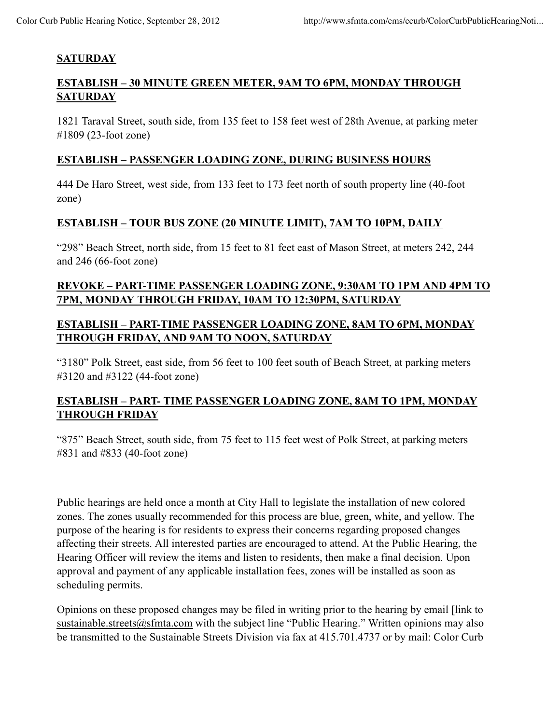## **SATURDAY**

## **ESTABLISH – 30 MINUTE GREEN METER, 9AM TO 6PM, MONDAY THROUGH SATURDAY**

1821 Taraval Street, south side, from 135 feet to 158 feet west of 28th Avenue, at parking meter #1809 (23-foot zone)

### **ESTABLISH – PASSENGER LOADING ZONE, DURING BUSINESS HOURS**

444 De Haro Street, west side, from 133 feet to 173 feet north of south property line (40-foot zone)

### **ESTABLISH – TOUR BUS ZONE (20 MINUTE LIMIT), 7AM TO 10PM, DAILY**

"298" Beach Street, north side, from 15 feet to 81 feet east of Mason Street, at meters 242, 244 and 246 (66-foot zone)

# **REVOKE – PART-TIME PASSENGER LOADING ZONE, 9:30AM TO 1PM AND 4PM TO 7PM, MONDAY THROUGH FRIDAY, 10AM TO 12:30PM, SATURDAY**

# **ESTABLISH – PART-TIME PASSENGER LOADING ZONE, 8AM TO 6PM, MONDAY THROUGH FRIDAY, AND 9AM TO NOON, SATURDAY**

"3180" Polk Street, east side, from 56 feet to 100 feet south of Beach Street, at parking meters #3120 and #3122 (44-foot zone)

# **ESTABLISH – PART- TIME PASSENGER LOADING ZONE, 8AM TO 1PM, MONDAY THROUGH FRIDAY**

"875" Beach Street, south side, from 75 feet to 115 feet west of Polk Street, at parking meters #831 and #833 (40-foot zone)

Public hearings are held once a month at City Hall to legislate the installation of new colored zones. The zones usually recommended for this process are blue, green, white, and yellow. The purpose of the hearing is for residents to express their concerns regarding proposed changes affecting their streets. All interested parties are encouraged to attend. At the Public Hearing, the Hearing Officer will review the items and listen to residents, then make a final decision. Upon approval and payment of any applicable installation fees, zones will be installed as soon as scheduling permits.

Opinions on these proposed changes may be filed in writing prior to the hearing by email [link to sustainable.streets@sfmta.com with the subject line "Public Hearing." Written opinions may also be transmitted to the Sustainable Streets Division via fax at 415.701.4737 or by mail: Color Curb